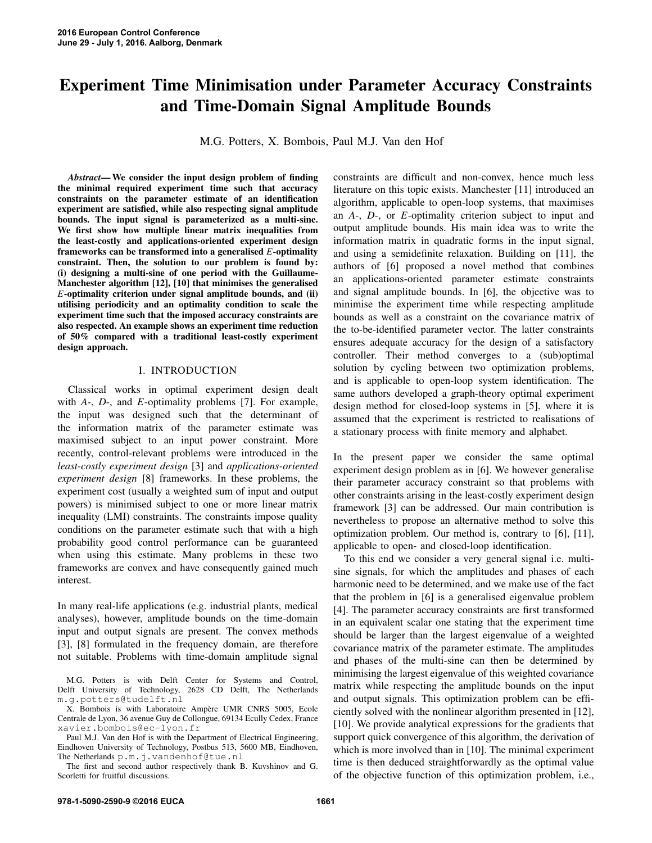# Experiment Time Minimisation under Parameter Accuracy Constraints and Time-Domain Signal Amplitude Bounds

M.G. Potters, X. Bombois, Paul M.J. Van den Hof

*Abstract*— We consider the input design problem of finding the minimal required experiment time such that accuracy constraints on the parameter estimate of an identification experiment are satisfied, while also respecting signal amplitude bounds. The input signal is parameterized as a multi-sine. We first show how multiple linear matrix inequalities from the least-costly and applications-oriented experiment design frameworks can be transformed into a generalised *E*-optimality constraint. Then, the solution to our problem is found by: (i) designing a multi-sine of one period with the Guillaume-Manchester algorithm [12], [10] that minimises the generalised *E*-optimality criterion under signal amplitude bounds, and (ii) utilising periodicity and an optimality condition to scale the experiment time such that the imposed accuracy constraints are also respected. An example shows an experiment time reduction of 50% compared with a traditional least-costly experiment design approach.

#### I. INTRODUCTION

Classical works in optimal experiment design dealt with *A*-, *D*-, and *E*-optimality problems [7]. For example, the input was designed such that the determinant of the information matrix of the parameter estimate was maximised subject to an input power constraint. More recently, control-relevant problems were introduced in the *least-costly experiment design* [3] and *applications-oriented experiment design* [8] frameworks. In these problems, the experiment cost (usually a weighted sum of input and output powers) is minimised subject to one or more linear matrix inequality (LMI) constraints. The constraints impose quality conditions on the parameter estimate such that with a high probability good control performance can be guaranteed when using this estimate. Many problems in these two frameworks are convex and have consequently gained much interest.

In many real-life applications (e.g. industrial plants, medical analyses), however, amplitude bounds on the time-domain input and output signals are present. The convex methods [3], [8] formulated in the frequency domain, are therefore not suitable. Problems with time-domain amplitude signal constraints are difficult and non-convex, hence much less literature on this topic exists. Manchester [11] introduced an algorithm, applicable to open-loop systems, that maximises an *A*-, *D*-, or *E*-optimality criterion subject to input and output amplitude bounds. His main idea was to write the information matrix in quadratic forms in the input signal, and using a semidefinite relaxation. Building on [11], the authors of [6] proposed a novel method that combines an applications-oriented parameter estimate constraints and signal amplitude bounds. In [6], the objective was to minimise the experiment time while respecting amplitude bounds as well as a constraint on the covariance matrix of the to-be-identified parameter vector. The latter constraints ensures adequate accuracy for the design of a satisfactory controller. Their method converges to a (sub)optimal solution by cycling between two optimization problems, and is applicable to open-loop system identification. The same authors developed a graph-theory optimal experiment design method for closed-loop systems in [5], where it is assumed that the experiment is restricted to realisations of a stationary process with finite memory and alphabet.

In the present paper we consider the same optimal experiment design problem as in [6]. We however generalise their parameter accuracy constraint so that problems with other constraints arising in the least-costly experiment design framework [3] can be addressed. Our main contribution is nevertheless to propose an alternative method to solve this optimization problem. Our method is, contrary to [6], [11], applicable to open- and closed-loop identification.

To this end we consider a very general signal i.e. multisine signals, for which the amplitudes and phases of each harmonic need to be determined, and we make use of the fact that the problem in [6] is a generalised eigenvalue problem [4]. The parameter accuracy constraints are first transformed in an equivalent scalar one stating that the experiment time should be larger than the largest eigenvalue of a weighted covariance matrix of the parameter estimate. The amplitudes and phases of the multi-sine can then be determined by minimising the largest eigenvalue of this weighted covariance matrix while respecting the amplitude bounds on the input and output signals. This optimization problem can be efficiently solved with the nonlinear algorithm presented in [12], [10]. We provide analytical expressions for the gradients that support quick convergence of this algorithm, the derivation of which is more involved than in [10]. The minimal experiment time is then deduced straightforwardly as the optimal value of the objective function of this optimization problem, i.e.,

M.G. Potters is with Delft Center for Systems and Control, Delft University of Technology, 2628 CD Delft, The Netherlands m.g.potters@tudelft.nl

X. Bombois is with Laboratoire Ampère UMR CNRS 5005, Ecole Centrale de Lyon, 36 avenue Guy de Collongue, 69134 Ecully Cedex, France xavier.bombois@ec-lyon.fr

Paul M.J. Van den Hof is with the Department of Electrical Engineering, Eindhoven University of Technology, Postbus 513, 5600 MB, Eindhoven, The Netherlands p.m.j.vandenhof@tue.nl

The first and second author respectively thank B. Kuvshinov and G. Scorletti for fruitful discussions.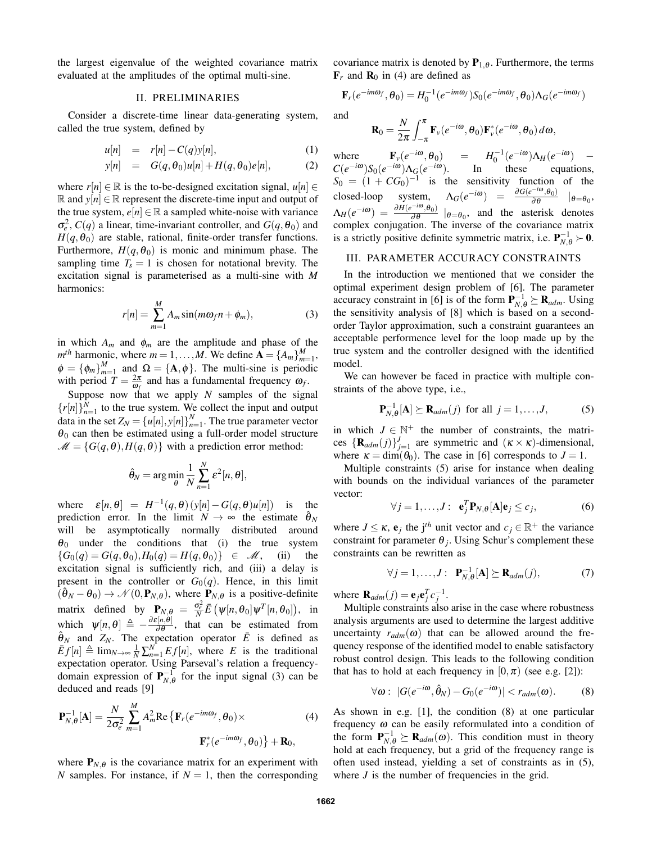the largest eigenvalue of the weighted covariance matrix evaluated at the amplitudes of the optimal multi-sine.

#### II. PRELIMINARIES

Consider a discrete-time linear data-generating system, called the true system, defined by

$$
u[n] = r[n] - C(q)y[n], \qquad (1)
$$

$$
y[n] = G(q, \theta_0)u[n] + H(q, \theta_0)e[n], \qquad (2)
$$

where  $r[n] \in \mathbb{R}$  is the to-be-designed excitation signal,  $u[n] \in$  $ℝ$  and  $y[n] ∈ ℝ$  represent the discrete-time input and output of the true system,  $e[n] \in \mathbb{R}$  a sampled white-noise with variance  $\sigma_e^2$ ,  $C(q)$  a linear, time-invariant controller, and  $G(q, \theta_0)$  and  $H(q, \theta_0)$  are stable, rational, finite-order transfer functions. Furthermore,  $H(q, \theta_0)$  is monic and minimum phase. The sampling time  $T_s = 1$  is chosen for notational brevity. The excitation signal is parameterised as a multi-sine with *M* harmonics:

$$
r[n] = \sum_{m=1}^{M} A_m \sin(m\omega_f n + \phi_m), \qquad (3)
$$

in which  $A_m$  and  $\phi_m$  are the amplitude and phase of the  $m^{th}$  harmonic, where  $m = 1, ..., M$ . We define  $\mathbf{A} = \{A_m\}_{m=1}^M$ ,  $\phi = {\phi_m}_{m=1}^M$  and  $\Omega = {\mathbf{A}, \phi}$ . The multi-sine is periodic with period  $T = \frac{2\pi}{\omega_f}$  and has a fundamental frequency  $\omega_f$ .

Suppose now that we apply *N* samples of the signal  ${r[n]}_{n=1}^N$  to the true system. We collect the input and output data in the set  $Z_N = {u[n], y[n]}_{n=1}^N$ . The true parameter vector  $\theta_0$  can then be estimated using a full-order model structure  $\mathcal{M} = \{G(q, \theta), H(q, \theta)\}\$  with a prediction error method:

$$
\hat{\theta}_N = \arg\min_{\theta} \frac{1}{N} \sum_{n=1}^N \varepsilon^2[n, \theta],
$$

where  $\varepsilon[n,\theta] = H^{-1}(q,\theta)(y[n]-G(q,\theta)u[n])$  is the prediction error. In the limit  $N \to \infty$  the estimate  $\hat{\theta}_N$ will be asymptotically normally distributed around  $\theta_0$  under the conditions that (i) the true system  ${G_0(q) = G(q, \theta_0), H_0(q) = H(q, \theta_0)} \in \mathcal{M}$ , (ii) the excitation signal is sufficiently rich, and (iii) a delay is present in the controller or  $G_0(q)$ . Hence, in this limit  $(\hat{\theta}_N - \theta_0) \rightarrow \mathcal{N}(0, \mathbf{P}_{N, \theta})$ , where  $\mathbf{P}_{N, \theta}$  is a positive-definite matrix defined by  $P_{N,\theta} = \frac{\sigma_e^2}{N} \bar{E} \left( \psi[n,\theta_0] \psi^T[n,\theta_0] \right)$ , in which  $\psi[n,\theta] \triangleq -\frac{\partial \varepsilon[n,\theta]}{\partial \theta}$ , that can be estimated from  $\hat{\theta}_N$  and  $Z_N$ . The expectation operator  $\bar{E}$  is defined as  $\bar{E}f[n] \triangleq \lim_{N \to \infty} \frac{1}{N} \sum_{n=1}^{N} Ef[n]$ , where *E* is the traditional expectation operator. Using Parseval's relation a frequencydomain expression of  $P_{N,\theta}^{-1}$  for the input signal (3) can be deduced and reads [9]

$$
\mathbf{P}_{N,\theta}^{-1}[\mathbf{A}] = \frac{N}{2\sigma_e^2} \sum_{m=1}^{M} A_m^2 \text{Re}\left\{\mathbf{F}_r(e^{-im\omega_f}, \theta_0) \times \mathbf{F}_r^*(e^{-im\omega_f}, \theta_0)\right\} + \mathbf{R}_0,
$$
\n(4)

where  $P_{N,\theta}$  is the covariance matrix for an experiment with *N* samples. For instance, if  $N = 1$ , then the corresponding covariance matrix is denoted by  $P_{1,\theta}$ . Furthermore, the terms  $\mathbf{F}_r$  and  $\mathbf{R}_0$  in (4) are defined as

$$
\mathbf{F}_r(e^{-im\omega_f}, \theta_0) = H_0^{-1}(e^{-im\omega_f})S_0(e^{-im\omega_f}, \theta_0)\Lambda_G(e^{-im\omega_f})
$$

and

$$
\mathbf{R}_0 = \frac{N}{2\pi} \int_{-\pi}^{\pi} \mathbf{F}_v(e^{-i\omega}, \theta_0) \mathbf{F}_v^*(e^{-i\omega}, \theta_0) d\omega,
$$

where  $\mathbf{F}_v(e^{-i\omega}, \theta_0) = H_0^{-1}(e^{-i\omega})\Lambda_H(e^{-i\omega})$  –  $C(e^{-i\omega})S_0(e^{-i\omega})\Lambda_G(e^{-i\omega})$ . In these equations,  $S_0 = (1 + CG_0)^{-1}$  is the sensitivity function of the closed-loop system,  $\Lambda_G(e^{-i\omega}) = \frac{\partial G(e^{-i\omega}, \theta_0)}{\partial \theta} \mid_{\theta = \theta_0}$ ,  $\Delta_H(e^{-i\omega}) = \frac{\partial H(e^{-i\omega}, \theta_0)}{\partial \theta} \mid_{\theta = \theta_0}$ , and the asterisk denotes complex conjugation. The inverse of the covariance matrix is a strictly positive definite symmetric matrix, i.e.  $P_{N,\theta}^{-1} \succ 0$ .

## III. PARAMETER ACCURACY CONSTRAINTS

In the introduction we mentioned that we consider the optimal experiment design problem of [6]. The parameter accuracy constraint in [6] is of the form  $P_{N,\theta}^{-1} \succeq R_{adm}$ . Using the sensitivity analysis of [8] which is based on a secondorder Taylor approximation, such a constraint guarantees an acceptable performence level for the loop made up by the true system and the controller designed with the identified model.

We can however be faced in practice with multiple constraints of the above type, i.e.,

$$
\mathbf{P}_{N,\theta}^{-1}[\mathbf{A}] \succeq \mathbf{R}_{adm}(j) \text{ for all } j = 1,\ldots,J,
$$
 (5)

in which  $J \in \mathbb{N}^+$  the number of constraints, the matrices  $\{R_{adm}(j)\}_{j=1}^J$  are symmetric and  $(\kappa \times \kappa)$ -dimensional, where  $\kappa = \dim(\theta_0)$ . The case in [6] corresponds to  $J = 1$ .

Multiple constraints (5) arise for instance when dealing with bounds on the individual variances of the parameter vector:

$$
\forall j = 1, \dots, J: \mathbf{e}_j^T \mathbf{P}_{N,\theta}[\mathbf{A}] \mathbf{e}_j \le c_j,\tag{6}
$$

where  $J \leq \kappa$ ,  $e_j$  the j<sup>th</sup> unit vector and  $c_j \in \mathbb{R}^+$  the variance constraint for parameter  $\theta_j$ . Using Schur's complement these constraints can be rewritten as

$$
\forall j = 1, \dots, J: \mathbf{P}_{N,\theta}^{-1}[\mathbf{A}] \succeq \mathbf{R}_{adm}(j), \tag{7}
$$

where  $\mathbf{R}_{adm}(j) = \mathbf{e}_j \mathbf{e}_j^T c_j^{-1}$ .

Multiple constraints also arise in the case where robustness analysis arguments are used to determine the largest additive uncertainty  $r_{adm}(\omega)$  that can be allowed around the frequency response of the identified model to enable satisfactory robust control design. This leads to the following condition that has to hold at each frequency in  $[0, \pi)$  (see e.g. [2]):

$$
\forall \omega : \left| G(e^{-i\omega}, \hat{\theta}_N) - G_0(e^{-i\omega}) \right| < r_{adm}(\omega). \tag{8}
$$

As shown in e.g. [1], the condition (8) at one particular frequency  $\omega$  can be easily reformulated into a condition of the form  $P_{N,\theta}^{-1} \succeq R_{adm}(\omega)$ . This condition must in theory hold at each frequency, but a grid of the frequency range is often used instead, yielding a set of constraints as in (5), where  $J$  is the number of frequencies in the grid.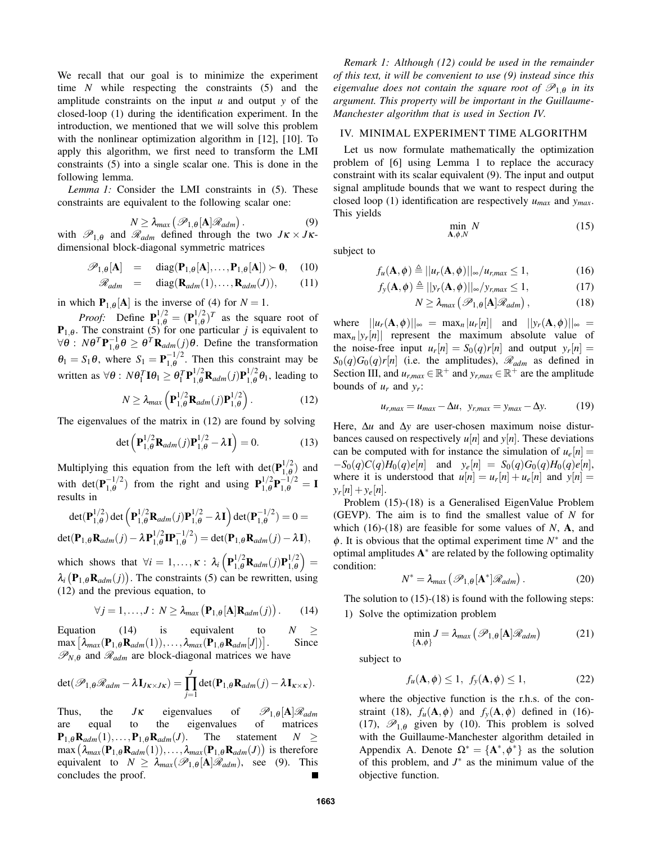We recall that our goal is to minimize the experiment time *N* while respecting the constraints (5) and the amplitude constraints on the input *u* and output *y* of the closed-loop (1) during the identification experiment. In the introduction, we mentioned that we will solve this problem with the nonlinear optimization algorithm in [12], [10]. To apply this algorithm, we first need to transform the LMI constraints (5) into a single scalar one. This is done in the following lemma.

*Lemma 1:* Consider the LMI constraints in (5). These constraints are equivalent to the following scalar one:

$$
N \geq \lambda_{max} \left( \mathcal{P}_{1,\theta}[\mathbf{A}] \mathcal{R}_{adm} \right). \tag{9}
$$

with  $\mathscr{P}_{1,\theta}$  and  $\mathscr{R}_{adm}$  defined through the two  $J\kappa \times J\kappa$ dimensional block-diagonal symmetric matrices

$$
\mathscr{P}_{1,\theta}[\mathbf{A}] = \text{diag}(\mathbf{P}_{1,\theta}[\mathbf{A}],\dots,\mathbf{P}_{1,\theta}[\mathbf{A}]) \succ \mathbf{0}, \quad (10)
$$

$$
\mathscr{R}_{adm} = \text{diag}(\mathbf{R}_{adm}(1), \dots, \mathbf{R}_{adm}(J)), \quad (11)
$$

in which  $P_{1,\theta}[A]$  is the inverse of (4) for  $N = 1$ .

*Proof:* Define  $P_{1,\theta}^{1/2} = (P_{1,\theta}^{1/2})$  $\int_{1,\theta}^{1/2}$  as the square root of  $P_{1,\theta}$ . The constraint (5) for one particular *j* is equivalent to  $\forall \theta : N\theta^T \mathbf{P}_{1,\theta}^{-1} \theta \ge \theta^T \mathbf{R}_{adm}(j) \theta$ . Define the transformation  $\theta_1 = S_1 \theta$ , where  $S_1 = \mathbf{P}_{1,\theta}^{-1/2}$  $\frac{-1}{1,\theta}$ . Then this constraint may be written as  $\forall \theta$ :  $N\theta_1^T \mathbf{I} \theta_1 \geq \theta_1^T \mathbf{P}_{1,\theta}^{1/2} \mathbf{R}_{adm}(j) \mathbf{P}_{1,\theta}^{1/2}$  $\int_{1,\theta}^{1/2} \theta_1$ , leading to

$$
N \geq \lambda_{max} \left( \mathbf{P}_{1,\theta}^{1/2} \mathbf{R}_{adm}(j) \mathbf{P}_{1,\theta}^{1/2} \right). \tag{12}
$$

The eigenvalues of the matrix in (12) are found by solving

$$
\det\left(\mathbf{P}_{1,\theta}^{1/2}\mathbf{R}_{adm}(j)\mathbf{P}_{1,\theta}^{1/2}-\lambda\mathbf{I}\right)=0.
$$
 (13)

Multiplying this equation from the left with det $(P_{1 \theta}^{1/2})$  $\binom{1/2}{1, \theta}$  and with det $(\mathbf{P}_{1\,\theta}^{-1/2})$  $1, \theta$  from the right and using  $P_{1,\theta}^{1/2}$  $_{1,\theta}^{1/2}\mathbf{P}_{1,\theta}^{-1/2}=\mathbf{I}$ results in

$$
\det(\mathbf{P}_{1,\theta}^{1/2})\det(\mathbf{P}_{1,\theta}^{1/2}\mathbf{R}_{adm}(j)\mathbf{P}_{1,\theta}^{1/2}-\lambda\mathbf{I})\det(\mathbf{P}_{1,\theta}^{-1/2})=0=
$$
  

$$
\det(\mathbf{P}_{1,\theta}\mathbf{R}_{adm}(j)-\lambda\mathbf{P}_{1,\theta}^{1/2}\mathbf{I}\mathbf{P}_{1,\theta}^{-1/2})=\det(\mathbf{P}_{1,\theta}\mathbf{R}_{adm}(j)-\lambda\mathbf{I}),
$$

which shows that  $\forall i = 1,..., \kappa : \lambda_i \left( \mathbf{P}_{1,\theta}^{1/2} \mathbf{R}_{adm}(j) \mathbf{P}_{1,\theta}^{1/2} \right)$  $\binom{1/2}{1,\theta} =$  $\lambda_i$  ( $\mathbf{P}_{1,\theta}$ **R**<sub>adm</sub>(*j*)). The constraints (5) can be rewritten, using (12) and the previous equation, to

$$
\forall j = 1, ..., J: N \ge \lambda_{max} (\mathbf{P}_{1,\theta}[\mathbf{A}]\mathbf{R}_{adm}(j)). \qquad (14)
$$

Equation (14) is equivalent to  $N \geq$  $\max\left[\lambda_{max}(\mathbf{P}_{1,\theta} \mathbf{R}_{adm}(1)),\ldots,\lambda_{max}(\mathbf{P}_{1,\theta} \mathbf{R}_{adm}[J])\right]$ . Since  $\mathscr{P}_{N,\theta}$  and  $\mathscr{R}_{adm}$  are block-diagonal matrices we have

$$
\det(\mathscr{P}_{1,\theta}\mathscr{R}_{adm}-\lambda\mathbf{I}_{J\kappa\times J\kappa})=\prod_{j=1}^J\det(\mathbf{P}_{1,\theta}\mathbf{R}_{adm}(j)-\lambda\mathbf{I}_{\kappa\times\kappa}).
$$

Thus, the *J*<sub>K</sub> eigenvalues of  $\mathcal{P}_{1,\theta}[\mathbf{A}]\mathcal{R}_{adm}$ <br>are equal to the eigenvalues of matrices are equal to the eigenvalues  $\mathbf{P}_{1,\theta} \mathbf{R}_{adm}(1), \ldots, \mathbf{P}_{1,\theta} \mathbf{R}_{adm}(J)$ . The statement  $N \geq$  $\max (\lambda_{max}(\mathbf{P}_{1,\theta} \mathbf{R}_{adm}(1)), \ldots, \lambda_{max}(\mathbf{P}_{1,\theta} \mathbf{R}_{adm}(J))$  is therefore equivalent to  $N \geq \lambda_{max}(\mathscr{P}_{1,\theta}[\mathbf{A}]\mathscr{R}_{adm})$ , see (9). This concludes the proof.

*Remark 1: Although (12) could be used in the remainder of this text, it will be convenient to use (9) instead since this eigenvalue does not contain the square root of*  $\mathscr{P}_{1,\theta}$  *in its argument. This property will be important in the Guillaume-Manchester algorithm that is used in Section IV.*

## IV. MINIMAL EXPERIMENT TIME ALGORITHM

Let us now formulate mathematically the optimization problem of [6] using Lemma 1 to replace the accuracy constraint with its scalar equivalent (9). The input and output signal amplitude bounds that we want to respect during the closed loop (1) identification are respectively *umax* and *ymax*. This yields

$$
\min_{\mathbf{A}, \phi, N} N \tag{15}
$$

subject to

$$
f_u(\mathbf{A}, \phi) \triangleq ||u_r(\mathbf{A}, \phi)||_{\infty} / u_{r, max} \le 1,
$$
 (16)

$$
f_{y}(\mathbf{A}, \phi) \triangleq ||y_{r}(\mathbf{A}, \phi)||_{\infty}/y_{r, max} \le 1,
$$
 (17)

$$
N \geq \lambda_{max} \left( \mathcal{P}_{1,\theta}[\mathbf{A}] \mathcal{R}_{adm} \right), \tag{18}
$$

where  $||u_r(\mathbf{A}, \phi)||_{\infty} = \max_n |u_r[n]|$  and  $||y_r(\mathbf{A}, \phi)||_{\infty} =$  $\max_{n} |y_r[n]|$  represent the maximum absolute value of the noise-free input  $u_r[n] = S_0(q)r[n]$  and output  $y_r[n] =$  $S_0(q)G_0(q)r[n]$  (i.e. the amplitudes),  $\mathscr{R}_{adm}$  as defined in Section III, and  $u_{r,max} \in \mathbb{R}^+$  and  $y_{r,max} \in \mathbb{R}^+$  are the amplitude bounds of  $u_r$  and  $y_r$ :

$$
u_{r,max} = u_{max} - \Delta u, \ y_{r,max} = y_{max} - \Delta y.
$$
 (19)

Here, ∆*u* and ∆*y* are user-chosen maximum noise disturbances caused on respectively  $u[n]$  and  $y[n]$ . These deviations can be computed with for instance the simulation of  $u_e[n] =$  $-S_0(q)C(q)H_0(q)e[n]$  and  $y_e[n] = S_0(q)G_0(q)H_0(q)e[n],$ where it is understood that  $u[n] = u_r[n] + u_e[n]$  and  $y[n] =$  $y_r[n] + y_e[n].$ 

Problem (15)-(18) is a Generalised EigenValue Problem (GEVP). The aim is to find the smallest value of *N* for which (16)-(18) are feasible for some values of *N*, A, and  $\phi$ . It is obvious that the optimal experiment time  $N^*$  and the optimal amplitudes  $A^*$  are related by the following optimality condition:

$$
N^* = \lambda_{max} \left( \mathcal{P}_{1,\theta}[\mathbf{A}^*] \mathcal{R}_{adm} \right). \tag{20}
$$

The solution to  $(15)-(18)$  is found with the following steps: 1) Solve the optimization problem

$$
\min_{\{\mathbf{A},\phi\}} J = \lambda_{max} \left( \mathcal{P}_{1,\theta}[\mathbf{A}] \mathcal{R}_{adm} \right) \tag{21}
$$

subject to

$$
f_u(\mathbf{A}, \phi) \le 1, \ f_y(\mathbf{A}, \phi) \le 1,\tag{22}
$$

where the objective function is the r.h.s. of the constraint (18),  $f_u(\mathbf{A}, \phi)$  and  $f_y(\mathbf{A}, \phi)$  defined in (16)-(17),  $\mathscr{P}_{1,\theta}$  given by (10). This problem is solved with the Guillaume-Manchester algorithm detailed in Appendix A. Denote  $\Omega^* = {\mathbf{A}^*, \phi^*}$  as the solution of this problem, and  $J^*$  as the minimum value of the objective function.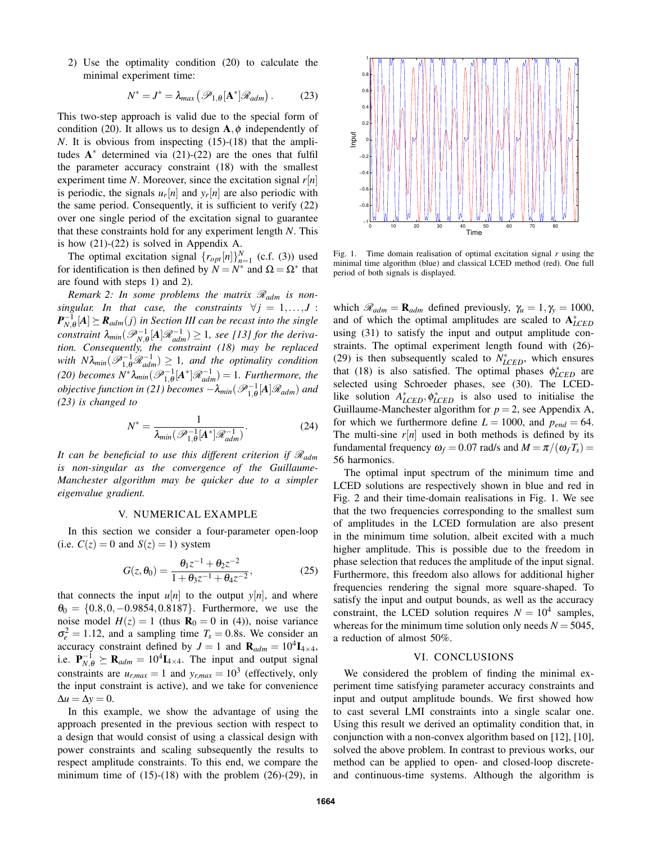2) Use the optimality condition (20) to calculate the minimal experiment time:

$$
N^* = J^* = \lambda_{max} \left( \mathcal{P}_{1,\theta}[\mathbf{A}^*] \mathcal{R}_{adm} \right).
$$
 (23)

This two-step approach is valid due to the special form of condition (20). It allows us to design  $A, \phi$  independently of *N*. It is obvious from inspecting (15)-(18) that the amplitudes  $A^*$  determined via (21)-(22) are the ones that fulfil the parameter accuracy constraint (18) with the smallest experiment time *N*. Moreover, since the excitation signal *r*[*n*] is periodic, the signals  $u_r[n]$  and  $y_r[n]$  are also periodic with the same period. Consequently, it is sufficient to verify (22) over one single period of the excitation signal to guarantee that these constraints hold for any experiment length *N*. This is how (21)-(22) is solved in Appendix A.

The optimal excitation signal  $\{r_{opt}[n]\}_{n=1}^N$  (c.f. (3)) used for identification is then defined by  $N = N^*$  and  $\Omega = \Omega^*$  that are found with steps 1) and 2).

*Remark 2: In some problems the matrix*  $\mathcal{R}_{adm}$  *is nonsingular.* In that case, the constraints  $\forall j = 1,...,J$ :  $P_{N,\theta}^{-1}[A] \succeq R_{adm}(j)$  in Section III can be recast into the single  $\mathbf{A}_{N,\theta}$   $\mathbf{A}_{I}^{\mathsf{T}}$  ( $\mathbf{A}_{\text{adm}}$   $\mathbf{A}_{N,\theta}$   $\mathbf{A}_{I}^{\mathsf{T}}$ )  $\geq$  1*, see [13] for the derivation. Consequently, the constraint (18) may be replaced*  $with N\lambda_{min}(\mathscr{P}_{1,\theta}^{-1}\mathscr{R}_{adm}^{-1}) \geq 1$ , and the optimality condition  $(20)$  becomes  $N^* \lambda_{min} (\mathscr{P}_{1,\theta}^{-1}[A^*]\mathscr{R}_{adm}^{-1}) = 1$ . Furthermore, the *objective function in (21) becomes*  $-\lambda_{min}(\mathscr{P}_{1,\theta}^{-1}[A]\mathscr{R}_{adm})$  and *(23) is changed to*

$$
N^* = \frac{1}{\lambda_{min}(\mathscr{P}_{1,\theta}^{-1}[A^*]\mathscr{R}_{adm}^{-1})}.
$$
 (24)

*It can be beneficial to use this different criterion if* R*adm is non-singular as the convergence of the Guillaume-Manchester algorithm may be quicker due to a simpler eigenvalue gradient.*

## V. NUMERICAL EXAMPLE

In this section we consider a four-parameter open-loop (i.e.  $C(z) = 0$  and  $S(z) = 1$ ) system

$$
G(z, \theta_0) = \frac{\theta_1 z^{-1} + \theta_2 z^{-2}}{1 + \theta_3 z^{-1} + \theta_4 z^{-2}},
$$
 (25)

that connects the input  $u[n]$  to the output  $v[n]$ , and where  $\theta_0 = \{0.8, 0, -0.9854, 0.8187\}$ . Furthermore, we use the noise model  $H(z) = 1$  (thus  $\mathbf{R}_0 = 0$  in (4)), noise variance  $\sigma_e^2 = 1.12$ , and a sampling time  $T_s = 0.8$ s. We consider an accuracy constraint defined by  $J = 1$  and  $\mathbf{R}_{adm} = 10^4 \mathbf{I}_{4 \times 4}$ , i.e.  $P_{N,\theta}^{-1} \succeq R_{adm} = 10^4 I_{4 \times 4}$ . The input and output signal constraints are  $u_{r,max} = 1$  and  $y_{r,max} = 10^3$  (effectively, only the input constraint is active), and we take for convenience  $\Delta u = \Delta y = 0.$ 

In this example, we show the advantage of using the approach presented in the previous section with respect to a design that would consist of using a classical design with power constraints and scaling subsequently the results to respect amplitude constraints. To this end, we compare the minimum time of  $(15)-(18)$  with the problem  $(26)-(29)$ , in



Fig. 1. Time domain realisation of optimal excitation signal *r* using the minimal time algorithm (blue) and classical LCED method (red). One full period of both signals is displayed.

which  $\mathcal{R}_{adm} = \mathbf{R}_{adm}$  defined previously,  $\gamma_u = 1, \gamma_y = 1000$ , and of which the optimal amplitudes are scaled to  $A^*_{LEED}$ using (31) to satisfy the input and output amplitude constraints. The optimal experiment length found with (26)- (29) is then subsequently scaled to  $N_{LEED}^*$ , which ensures that (18) is also satisfied. The optimal phases  $\phi_{LCED}^*$  are selected using Schroeder phases, see (30). The LCEDlike solution  $A_{LCED}^*$ ,  $\phi_{LCED}^*$  is also used to initialise the Guillaume-Manchester algorithm for  $p = 2$ , see Appendix A, for which we furthermore define  $L = 1000$ , and  $p_{end} = 64$ . The multi-sine  $r[n]$  used in both methods is defined by its fundamental frequency  $\omega_f = 0.07$  rad/s and  $M = \pi/(\omega_f T_s)$ 56 harmonics.

The optimal input spectrum of the minimum time and LCED solutions are respectively shown in blue and red in Fig. 2 and their time-domain realisations in Fig. 1. We see that the two frequencies corresponding to the smallest sum of amplitudes in the LCED formulation are also present in the minimum time solution, albeit excited with a much higher amplitude. This is possible due to the freedom in phase selection that reduces the amplitude of the input signal. Furthermore, this freedom also allows for additional higher frequencies rendering the signal more square-shaped. To satisfy the input and output bounds, as well as the accuracy constraint, the LCED solution requires  $N = 10^4$  samples, whereas for the minimum time solution only needs  $N = 5045$ , a reduction of almost 50%.

#### VI. CONCLUSIONS

We considered the problem of finding the minimal experiment time satisfying parameter accuracy constraints and input and output amplitude bounds. We first showed how to cast several LMI constraints into a single scalar one. Using this result we derived an optimality condition that, in conjunction with a non-convex algorithm based on [12], [10], solved the above problem. In contrast to previous works, our method can be applied to open- and closed-loop discreteand continuous-time systems. Although the algorithm is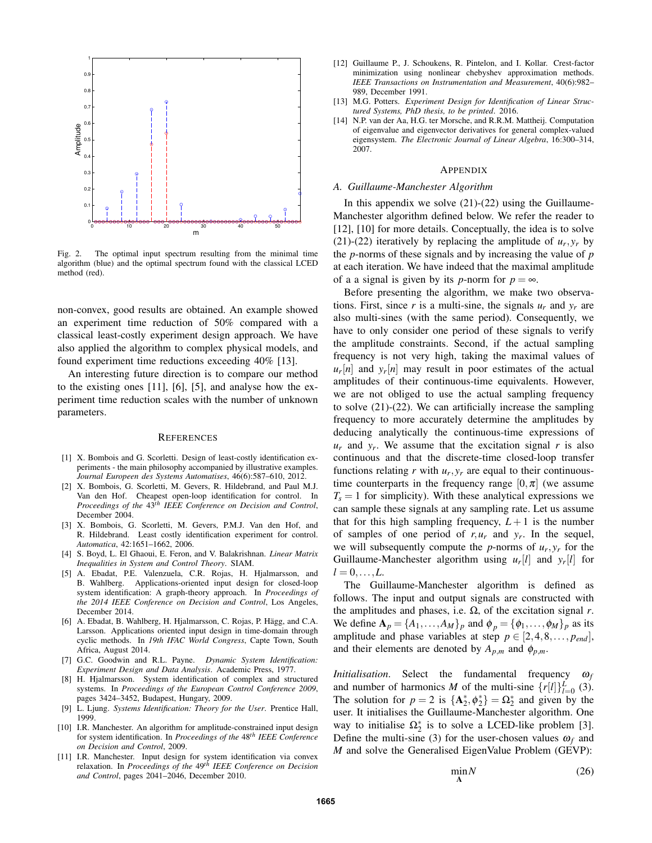

Fig. 2. The optimal input spectrum resulting from the minimal time algorithm (blue) and the optimal spectrum found with the classical LCED method (red).

non-convex, good results are obtained. An example showed an experiment time reduction of 50% compared with a classical least-costly experiment design approach. We have also applied the algorithm to complex physical models, and found experiment time reductions exceeding 40% [13].

An interesting future direction is to compare our method to the existing ones [11], [6], [5], and analyse how the experiment time reduction scales with the number of unknown parameters.

#### **REFERENCES**

- [1] X. Bombois and G. Scorletti. Design of least-costly identification experiments - the main philosophy accompanied by illustrative examples. *Journal Europeen des Systems Automatises*, 46(6):587–610, 2012.
- [2] X. Bombois, G. Scorletti, M. Gevers, R. Hildebrand, and Paul M.J. Van den Hof. Cheapest open-loop identification for control. In *Proceedings of the* 43*th IEEE Conference on Decision and Control*, December 2004.
- [3] X. Bombois, G. Scorletti, M. Gevers, P.M.J. Van den Hof, and R. Hildebrand. Least costly identification experiment for control. *Automatica*, 42:1651–1662, 2006.
- [4] S. Boyd, L. El Ghaoui, E. Feron, and V. Balakrishnan. *Linear Matrix Inequalities in System and Control Theory*. SIAM.
- [5] A. Ebadat, P.E. Valenzuela, C.R. Rojas, H. Hjalmarsson, and B. Wahlberg. Applications-oriented input design for closed-loop system identification: A graph-theory approach. In *Proceedings of the 2014 IEEE Conference on Decision and Control*, Los Angeles, December 2014.
- [6] A. Ebadat, B. Wahlberg, H. Hjalmarsson, C. Rojas, P. Hägg, and C.A. Larsson. Applications oriented input design in time-domain through cyclic methods. In *19th IFAC World Congress*, Capte Town, South Africa, August 2014.
- [7] G.C. Goodwin and R.L. Payne. *Dynamic System Identification: Experiment Design and Data Analysis*. Academic Press, 1977.
- [8] H. Hjalmarsson. System identification of complex and structured systems. In *Proceedings of the European Control Conference 2009*, pages 3424–3452, Budapest, Hungary, 2009.
- [9] L. Ljung. *Systems Identification: Theory for the User*. Prentice Hall, 1999.
- [10] I.R. Manchester. An algorithm for amplitude-constrained input design for system identification. In *Proceedings of the* 48*th IEEE Conference on Decision and Control*, 2009.
- [11] I.R. Manchester. Input design for system identification via convex relaxation. In *Proceedings of the* 49*th IEEE Conference on Decision and Control*, pages 2041–2046, December 2010.
- [12] Guillaume P., J. Schoukens, R. Pintelon, and I. Kollar. Crest-factor minimization using nonlinear chebyshev approximation methods. *IEEE Transactions on Instrumentation and Measurement*, 40(6):982– 989, December 1991.
- [13] M.G. Potters. *Experiment Design for Identification of Linear Structured Systems, PhD thesis, to be printed*. 2016.
- [14] N.P. van der Aa, H.G. ter Morsche, and R.R.M. Mattheij. Computation of eigenvalue and eigenvector derivatives for general complex-valued eigensystem. *The Electronic Journal of Linear Algebra*, 16:300–314, 2007.

#### APPENDIX

#### *A. Guillaume-Manchester Algorithm*

In this appendix we solve  $(21)-(22)$  using the Guillaume-Manchester algorithm defined below. We refer the reader to [12], [10] for more details. Conceptually, the idea is to solve (21)-(22) iteratively by replacing the amplitude of  $u_r$ ,  $y_r$  by the *p*-norms of these signals and by increasing the value of *p* at each iteration. We have indeed that the maximal amplitude of a a signal is given by its *p*-norm for  $p = \infty$ .

Before presenting the algorithm, we make two observations. First, since *r* is a multi-sine, the signals  $u_r$  and  $y_r$  are also multi-sines (with the same period). Consequently, we have to only consider one period of these signals to verify the amplitude constraints. Second, if the actual sampling frequency is not very high, taking the maximal values of  $u_r[n]$  and  $y_r[n]$  may result in poor estimates of the actual amplitudes of their continuous-time equivalents. However, we are not obliged to use the actual sampling frequency to solve (21)-(22). We can artificially increase the sampling frequency to more accurately determine the amplitudes by deducing analytically the continuous-time expressions of  $u_r$  and  $y_r$ . We assume that the excitation signal *r* is also continuous and that the discrete-time closed-loop transfer functions relating  $r$  with  $u_r$ ,  $y_r$  are equal to their continuoustime counterparts in the frequency range  $[0, \pi]$  (we assume  $T_s = 1$  for simplicity). With these analytical expressions we can sample these signals at any sampling rate. Let us assume that for this high sampling frequency,  $L+1$  is the number of samples of one period of  $r, u_r$  and  $y_r$ . In the sequel, we will subsequently compute the *p*-norms of  $u_r$ ,  $y_r$  for the Guillaume-Manchester algorithm using  $u_r[l]$  and  $y_r[l]$  for  $l = 0, \ldots, L$ .

The Guillaume-Manchester algorithm is defined as follows. The input and output signals are constructed with the amplitudes and phases, i.e.  $\Omega$ , of the excitation signal *r*. We define  $\mathbf{A}_p = \{A_1, \ldots, A_M\}_p$  and  $\phi_p = \{\phi_1, \ldots, \phi_M\}_p$  as its amplitude and phase variables at step  $p \in [2, 4, 8, \ldots, p_{end}]$ , and their elements are denoted by  $A_{p,m}$  and  $\phi_{p,m}$ .

*Initialisation*. Select the fundamental frequency ω*<sup>f</sup>* and number of harmonics *M* of the multi-sine  $\{r[l]\}_{l=0}^L$  (3). The solution for  $p = 2$  is  $\{A_2^*, \phi_2^*\} = \Omega_2^*$  and given by the user. It initialises the Guillaume-Manchester algorithm. One way to initialise  $\Omega_2^*$  is to solve a LCED-like problem [3]. Define the multi-sine (3) for the user-chosen values  $\omega_f$  and *M* and solve the Generalised EigenValue Problem (GEVP):

$$
\min_{\mathbf{A}} N \tag{26}
$$